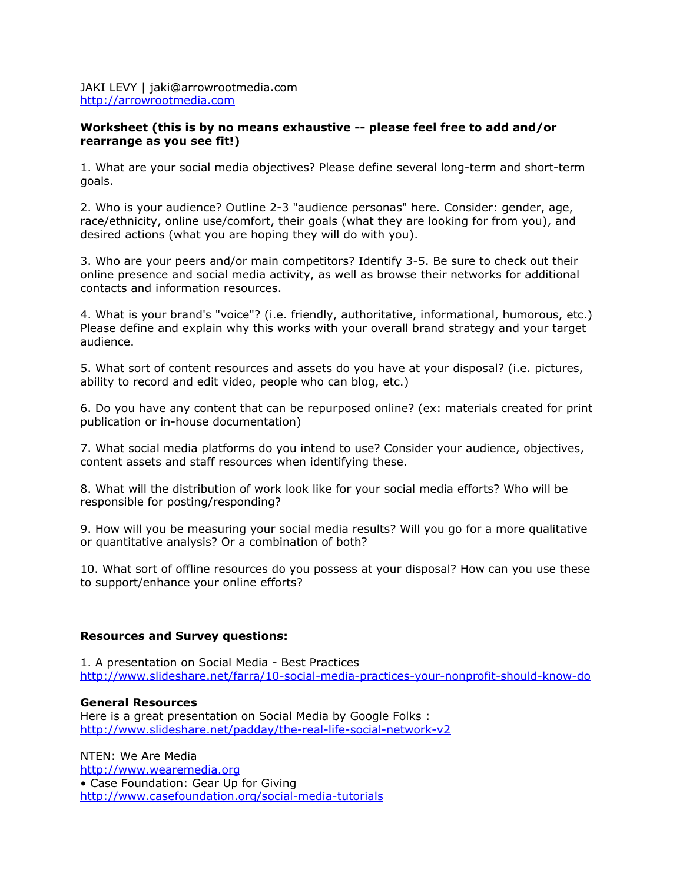JAKI LEVY | jaki@arrowrootmedia.com <http://arrowrootmedia.com>

## **Worksheet (this is by no means exhaustive -- please feel free to add and/or rearrange as you see fit!)**

1. What are your social media objectives? Please define several long-term and short-term goals.

2. Who is your audience? Outline 2-3 "audience personas" here. Consider: gender, age, race/ethnicity, online use/comfort, their goals (what they are looking for from you), and desired actions (what you are hoping they will do with you).

3. Who are your peers and/or main competitors? Identify 3-5. Be sure to check out their online presence and social media activity, as well as browse their networks for additional contacts and information resources.

4. What is your brand's "voice"? (i.e. friendly, authoritative, informational, humorous, etc.) Please define and explain why this works with your overall brand strategy and your target audience.

5. What sort of content resources and assets do you have at your disposal? (i.e. pictures, ability to record and edit video, people who can blog, etc.)

6. Do you have any content that can be repurposed online? (ex: materials created for print publication or in-house documentation)

7. What social media platforms do you intend to use? Consider your audience, objectives, content assets and staff resources when identifying these.

8. What will the distribution of work look like for your social media efforts? Who will be responsible for posting/responding?

9. How will you be measuring your social media results? Will you go for a more qualitative or quantitative analysis? Or a combination of both?

10. What sort of offline resources do you possess at your disposal? How can you use these to support/enhance your online efforts?

## **Resources and Survey questions:**

1. A presentation on Social Media - Best Practices <http://www.slideshare.net/farra/10-social-media-practices-your-nonprofit-should-know-do>

#### **General Resources**

Here is a great presentation on Social Media by Google Folks : <http://www.slideshare.net/padday/the-real-life-social-network-v2>

NTEN: We Are Media [http://www.wearemedia.org](http://www.wearemedia.org/) • Case Foundation: Gear Up for Giving <http://www.casefoundation.org/social-media-tutorials>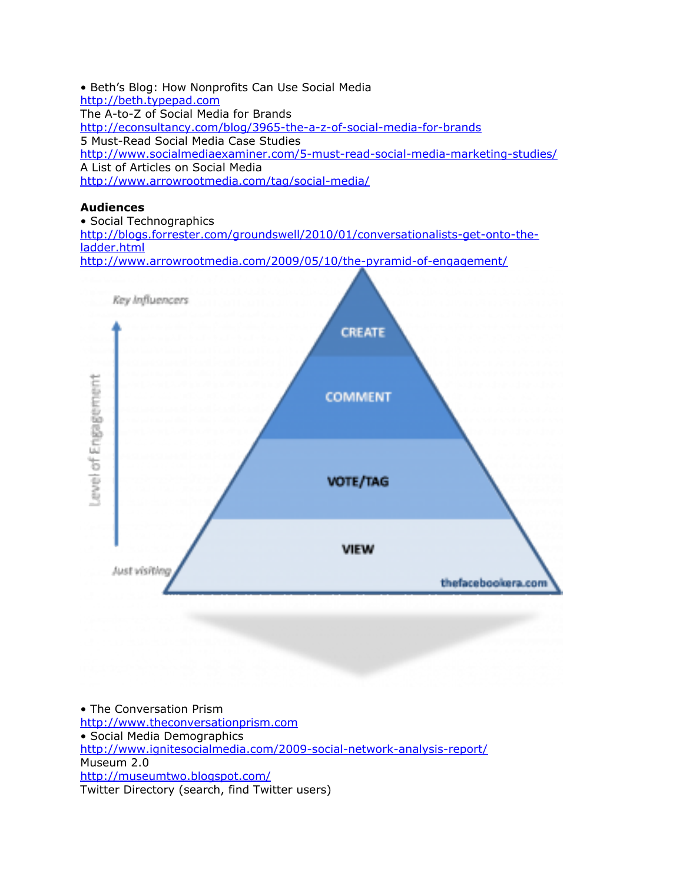• Beth's Blog: How Nonprofits Can Use Social Media [http://beth.typepad.com](http://beth.typepad.com/) The A-to-Z of Social Media for Brands <http://econsultancy.com/blog/3965-the-a-z-of-social-media-for-brands> 5 Must-Read Social Media Case Studies <http://www.socialmediaexaminer.com/5-must-read-social-media-marketing-studies/> A List of Articles on Social Media <http://www.arrowrootmedia.com/tag/social-media/>

#### **Audiences**

• Social Technographics [http://blogs.forrester.com/groundswell/2010/01/conversationalists-get-onto-the](http://blogs.forrester.com/groundswell/2010/01/conversationalists-get-onto-the-ladder.html)[ladder.html](http://blogs.forrester.com/groundswell/2010/01/conversationalists-get-onto-the-ladder.html) <http://www.arrowrootmedia.com/2009/05/10/the-pyramid-of-engagement/>



• The Conversation Prism [http://www.theconversationprism.com](http://www.theconversationprism.com/) • Social Media Demographics <http://www.ignitesocialmedia.com/2009-social-network-analysis-report/> Museum 2.0 <http://museumtwo.blogspot.com/> Twitter Directory (search, find Twitter users)